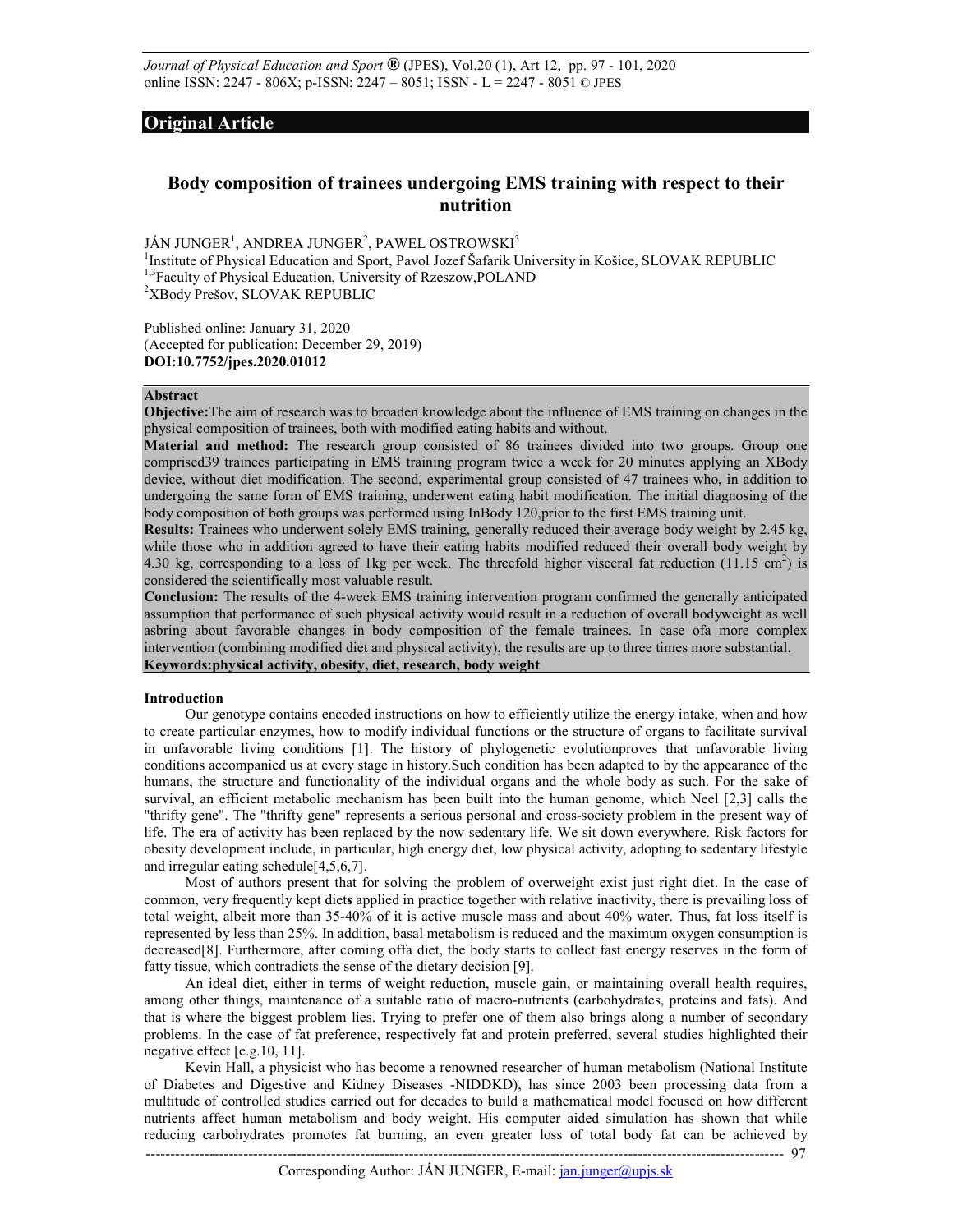*Journal of Physical Education and Sport* **®** (JPES), Vol.20 (1), Art 12, pp. 97 - 101, 2020 online ISSN: 2247 - 806X; p-ISSN: 2247 – 8051; ISSN - L = 2247 - 8051 © JPES

## **Original Article**

# **Body composition of trainees undergoing EMS training with respect to their nutrition**

JÁN JUNGER $^1$ , ANDREA JUNGER $^2$ , PAWEL OSTROWSKI $^3$ 

<sup>1</sup>Institute of Physical Education and Sport, Pavol Jozef Šafarik University in Košice, SLOVAK REPUBLIC <sup>1,3</sup>Faculty of Physical Education, University of Rzeszow, POLAND <sup>2</sup>XBody Prešov, SLOVAK REPUBLIC

Published online: January 31, 2020 (Accepted for publication: December 29, 2019) **DOI:10.7752/jpes.2020.01012** 

## **Abstract**

**Objective:**The aim of research was to broaden knowledge about the influence of EMS training on changes in the physical composition of trainees, both with modified eating habits and without.

**Material and method:** The research group consisted of 86 trainees divided into two groups. Group one comprised39 trainees participating in EMS training program twice a week for 20 minutes applying an XBody device, without diet modification. The second, experimental group consisted of 47 trainees who, in addition to undergoing the same form of EMS training, underwent eating habit modification. The initial diagnosing of the body composition of both groups was performed using InBody 120,prior to the first EMS training unit.

**Results:** Trainees who underwent solely EMS training, generally reduced their average body weight by 2.45 kg, while those who in addition agreed to have their eating habits modified reduced their overall body weight by 4.30 kg, corresponding to a loss of 1 kg per week. The threefold higher visceral fat reduction (11.15 cm<sup>2</sup>) is considered the scientifically most valuable result.

**Conclusion:** The results of the 4-week EMS training intervention program confirmed the generally anticipated assumption that performance of such physical activity would result in a reduction of overall bodyweight as well asbring about favorable changes in body composition of the female trainees. In case ofa more complex intervention (combining modified diet and physical activity), the results are up to three times more substantial. **Keywords:physical activity, obesity, diet, research, body weight**

#### **Introduction**

Our genotype contains encoded instructions on how to efficiently utilize the energy intake, when and how to create particular enzymes, how to modify individual functions or the structure of organs to facilitate survival in unfavorable living conditions [1]. The history of phylogenetic evolutionproves that unfavorable living conditions accompanied us at every stage in history.Such condition has been adapted to by the appearance of the humans, the structure and functionality of the individual organs and the whole body as such. For the sake of survival, an efficient metabolic mechanism has been built into the human genome, which Neel [2,3] calls the "thrifty gene". The "thrifty gene" represents a serious personal and cross-society problem in the present way of life. The era of activity has been replaced by the now sedentary life. We sit down everywhere. Risk factors for obesity development include, in particular, high energy diet, low physical activity, adopting to sedentary lifestyle and irregular eating schedule[4,5,6,7].

Most of authors present that for solving the problem of overweight exist just right diet. In the case of common, very frequently kept diet**s** applied in practice together with relative inactivity, there is prevailing loss of total weight, albeit more than 35-40% of it is active muscle mass and about 40% water. Thus, fat loss itself is represented by less than 25%. In addition, basal metabolism is reduced and the maximum oxygen consumption is decreased[8]. Furthermore, after coming offa diet, the body starts to collect fast energy reserves in the form of fatty tissue, which contradicts the sense of the dietary decision [9].

An ideal diet, either in terms of weight reduction, muscle gain, or maintaining overall health requires, among other things, maintenance of a suitable ratio of macro-nutrients (carbohydrates, proteins and fats). And that is where the biggest problem lies. Trying to prefer one of them also brings along a number of secondary problems. In the case of fat preference, respectively fat and protein preferred, several studies highlighted their negative effect [e.g.10, 11].

Kevin Hall, a physicist who has become a renowned researcher of human metabolism (National Institute of Diabetes and Digestive and Kidney Diseases -NIDDKD), has since 2003 been processing data from a multitude of controlled studies carried out for decades to build a mathematical model focused on how different nutrients affect human metabolism and body weight. His computer aided simulation has shown that while reducing carbohydrates promotes fat burning, an even greater loss of total body fat can be achieved by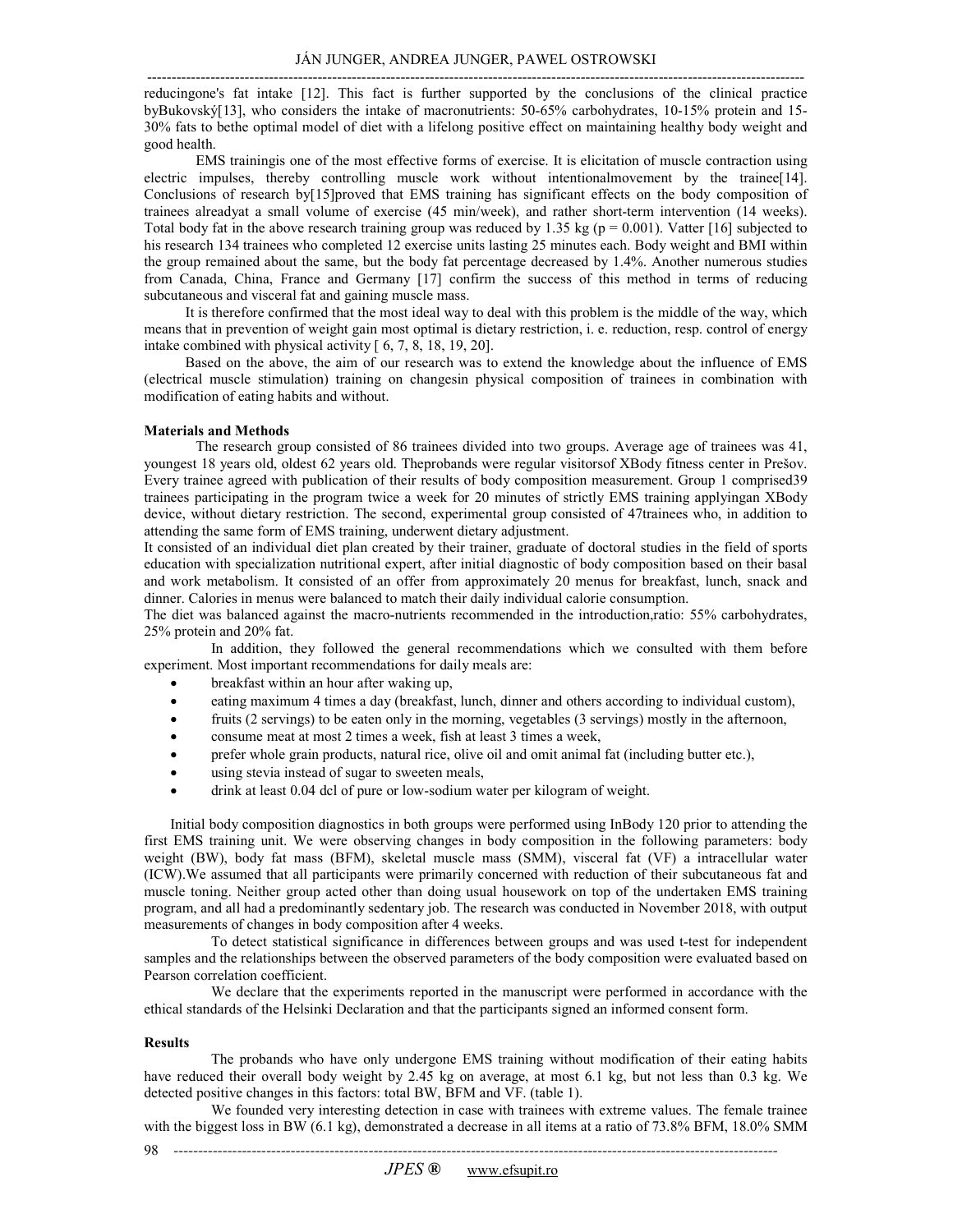---------------------------------------------------------------------------------------------------------------------------------------

reducingone's fat intake [12]. This fact is further supported by the conclusions of the clinical practice byBukovský[13], who considers the intake of macronutrients: 50-65% carbohydrates, 10-15% protein and 15- 30% fats to bethe optimal model of diet with a lifelong positive effect on maintaining healthy body weight and good health.

EMS trainingis one of the most effective forms of exercise. It is elicitation of muscle contraction using electric impulses, thereby controlling muscle work without intentionalmovement by the trainee[14]. Conclusions of research by[15]proved that EMS training has significant effects on the body composition of trainees alreadyat a small volume of exercise (45 min/week), and rather short-term intervention (14 weeks). Total body fat in the above research training group was reduced by 1.35 kg ( $p = 0.001$ ). Vatter [16] subjected to his research 134 trainees who completed 12 exercise units lasting 25 minutes each. Body weight and BMI within the group remained about the same, but the body fat percentage decreased by 1.4%. Another numerous studies from Canada, China, France and Germany [17] confirm the success of this method in terms of reducing subcutaneous and visceral fat and gaining muscle mass.

It is therefore confirmed that the most ideal way to deal with this problem is the middle of the way, which means that in prevention of weight gain most optimal is dietary restriction, i. e. reduction, resp. control of energy intake combined with physical activity [ 6, 7, 8, 18, 19, 20].

Based on the above, the aim of our research was to extend the knowledge about the influence of EMS (electrical muscle stimulation) training on changesin physical composition of trainees in combination with modification of eating habits and without.

#### **Materials and Methods**

The research group consisted of 86 trainees divided into two groups. Average age of trainees was 41, youngest 18 years old, oldest 62 years old. Theprobands were regular visitorsof XBody fitness center in Prešov. Every trainee agreed with publication of their results of body composition measurement. Group 1 comprised39 trainees participating in the program twice a week for 20 minutes of strictly EMS training applyingan XBody device, without dietary restriction. The second, experimental group consisted of 47trainees who, in addition to attending the same form of EMS training, underwent dietary adjustment.

It consisted of an individual diet plan created by their trainer, graduate of doctoral studies in the field of sports education with specialization nutritional expert, after initial diagnostic of body composition based on their basal and work metabolism. It consisted of an offer from approximately 20 menus for breakfast, lunch, snack and dinner. Calories in menus were balanced to match their daily individual calorie consumption.

The diet was balanced against the macro-nutrients recommended in the introduction,ratio: 55% carbohydrates, 25% protein and 20% fat.

 In addition, they followed the general recommendations which we consulted with them before experiment. Most important recommendations for daily meals are:

- breakfast within an hour after waking up,
- eating maximum 4 times a day (breakfast, lunch, dinner and others according to individual custom),
- fruits (2 servings) to be eaten only in the morning, vegetables (3 servings) mostly in the afternoon,
- consume meat at most 2 times a week, fish at least 3 times a week,
- prefer whole grain products, natural rice, olive oil and omit animal fat (including butter etc.),
- using stevia instead of sugar to sweeten meals,
- drink at least 0.04 dcl of pure or low-sodium water per kilogram of weight.

Initial body composition diagnostics in both groups were performed using InBody 120 prior to attending the first EMS training unit. We were observing changes in body composition in the following parameters: body weight (BW), body fat mass (BFM), skeletal muscle mass (SMM), visceral fat (VF) a intracellular water (ICW).We assumed that all participants were primarily concerned with reduction of their subcutaneous fat and muscle toning. Neither group acted other than doing usual housework on top of the undertaken EMS training program, and all had a predominantly sedentary job. The research was conducted in November 2018, with output measurements of changes in body composition after 4 weeks.

 To detect statistical significance in differences between groups and was used t-test for independent samples and the relationships between the observed parameters of the body composition were evaluated based on Pearson correlation coefficient.

 We declare that the experiments reported in the manuscript were performed in accordance with the ethical standards of the Helsinki Declaration and that the participants signed an informed consent form.

#### **Results**

98

 The probands who have only undergone EMS training without modification of their eating habits have reduced their overall body weight by 2.45 kg on average, at most 6.1 kg, but not less than 0.3 kg. We detected positive changes in this factors: total BW, BFM and VF. (table 1).

 We founded very interesting detection in case with trainees with extreme values. The female trainee with the biggest loss in BW (6.1 kg), demonstrated a decrease in all items at a ratio of 73.8% BFM, 18.0% SMM

*----------------------------------------------------------------------------------------------------------------------------*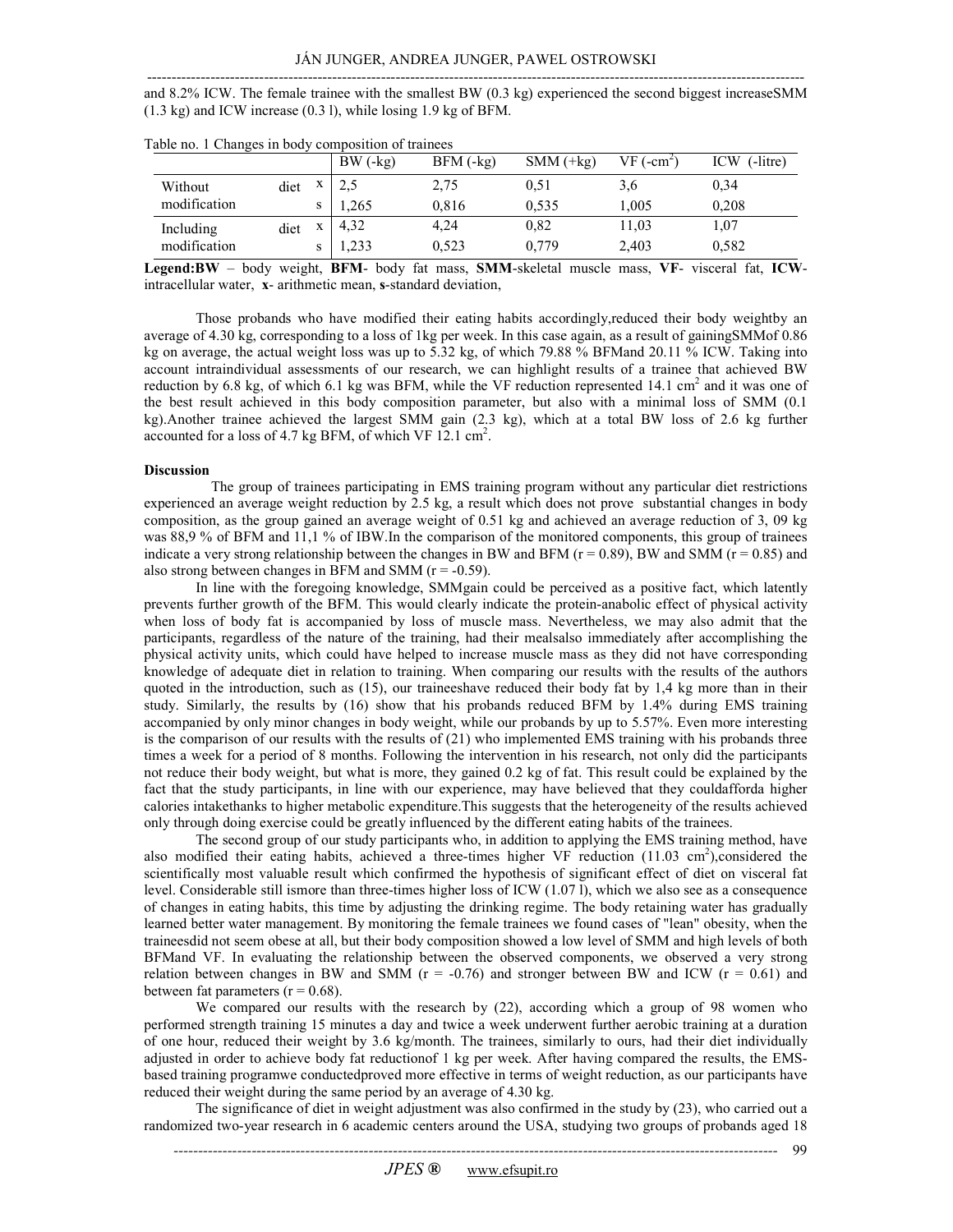and 8.2% ICW. The female trainee with the smallest BW (0.3 kg) experienced the second biggest increaseSMM (1.3 kg) and ICW increase (0.3 l), while losing 1.9 kg of BFM.

|              |      |   | $BW(-kg)$ | $BFM$ $(-kg)$ | $SMM$ (+ $kg$ ) | $VF(-cm2)$ | $(-$ litre)<br>ICW |
|--------------|------|---|-----------|---------------|-----------------|------------|--------------------|
| Without      | diet | X | 2,5       | 2,75          | 0.51            | 3,6        | 0,34               |
| modification |      | s | 1,265     | 0,816         | 0,535           | 1,005      | 0,208              |
| Including    | diet | X | 4,32      | 4,24          | 0,82            | 11,03      | 1,07               |
| modification |      |   | 1,233     | 0,523         | 0,779           | 2,403      | 0,582              |

Table no. 1 Changes in body composition of trainees

**Legend:BW** – body weight, **BFM**- body fat mass, **SMM**-skeletal muscle mass, **VF**- visceral fat, **ICW**intracellular water, **x**- arithmetic mean, **s**-standard deviation,

Those probands who have modified their eating habits accordingly,reduced their body weightby an average of 4.30 kg, corresponding to a loss of 1kg per week. In this case again, as a result of gainingSMMof 0.86 kg on average, the actual weight loss was up to 5.32 kg, of which 79.88 % BFMand 20.11 % ICW. Taking into account intraindividual assessments of our research, we can highlight results of a trainee that achieved BW reduction by 6.8 kg, of which 6.1 kg was BFM, while the VF reduction represented 14.1 cm<sup>2</sup> and it was one of the best result achieved in this body composition parameter, but also with a minimal loss of SMM (0.1 kg).Another trainee achieved the largest SMM gain (2.3 kg), which at a total BW loss of 2.6 kg further accounted for a loss of 4.7 kg BFM, of which VF 12.1  $\text{cm}^2$ .

### **Discussion**

 The group of trainees participating in EMS training program without any particular diet restrictions experienced an average weight reduction by 2.5 kg, a result which does not prove substantial changes in body composition, as the group gained an average weight of 0.51 kg and achieved an average reduction of 3, 09 kg was 88,9 % of BFM and 11,1 % of IBW.In the comparison of the monitored components, this group of trainees indicate a very strong relationship between the changes in BW and BFM ( $r = 0.89$ ), BW and SMM ( $r = 0.85$ ) and also strong between changes in BFM and SMM  $(r = -0.59)$ .

In line with the foregoing knowledge, SMMgain could be perceived as a positive fact, which latently prevents further growth of the BFM. This would clearly indicate the protein-anabolic effect of physical activity when loss of body fat is accompanied by loss of muscle mass. Nevertheless, we may also admit that the participants, regardless of the nature of the training, had their mealsalso immediately after accomplishing the physical activity units, which could have helped to increase muscle mass as they did not have corresponding knowledge of adequate diet in relation to training. When comparing our results with the results of the authors quoted in the introduction, such as (15), our traineeshave reduced their body fat by 1,4 kg more than in their study. Similarly, the results by (16) show that his probands reduced BFM by 1.4% during EMS training accompanied by only minor changes in body weight, while our probands by up to 5.57%. Even more interesting is the comparison of our results with the results of (21) who implemented EMS training with his probands three times a week for a period of 8 months. Following the intervention in his research, not only did the participants not reduce their body weight, but what is more, they gained 0.2 kg of fat. This result could be explained by the fact that the study participants, in line with our experience, may have believed that they couldafforda higher calories intakethanks to higher metabolic expenditure.This suggests that the heterogeneity of the results achieved only through doing exercise could be greatly influenced by the different eating habits of the trainees.

The second group of our study participants who, in addition to applying the EMS training method, have also modified their eating habits, achieved a three-times higher VF reduction (11.03 cm<sup>2</sup>), considered the scientifically most valuable result which confirmed the hypothesis of significant effect of diet on visceral fat level. Considerable still ismore than three-times higher loss of ICW (1.07 l), which we also see as a consequence of changes in eating habits, this time by adjusting the drinking regime. The body retaining water has gradually learned better water management. By monitoring the female trainees we found cases of "lean" obesity, when the traineesdid not seem obese at all, but their body composition showed a low level of SMM and high levels of both BFMand VF. In evaluating the relationship between the observed components, we observed a very strong relation between changes in BW and SMM ( $r = -0.76$ ) and stronger between BW and ICW ( $r = 0.61$ ) and between fat parameters  $(r = 0.68)$ .

We compared our results with the research by (22), according which a group of 98 women who performed strength training 15 minutes a day and twice a week underwent further aerobic training at a duration of one hour, reduced their weight by 3.6 kg/month. The trainees, similarly to ours, had their diet individually adjusted in order to achieve body fat reductionof 1 kg per week. After having compared the results, the EMSbased training programwe conductedproved more effective in terms of weight reduction, as our participants have reduced their weight during the same period by an average of 4.30 kg.

The significance of diet in weight adjustment was also confirmed in the study by (23), who carried out a randomized two-year research in 6 academic centers around the USA, studying two groups of probands aged 18

99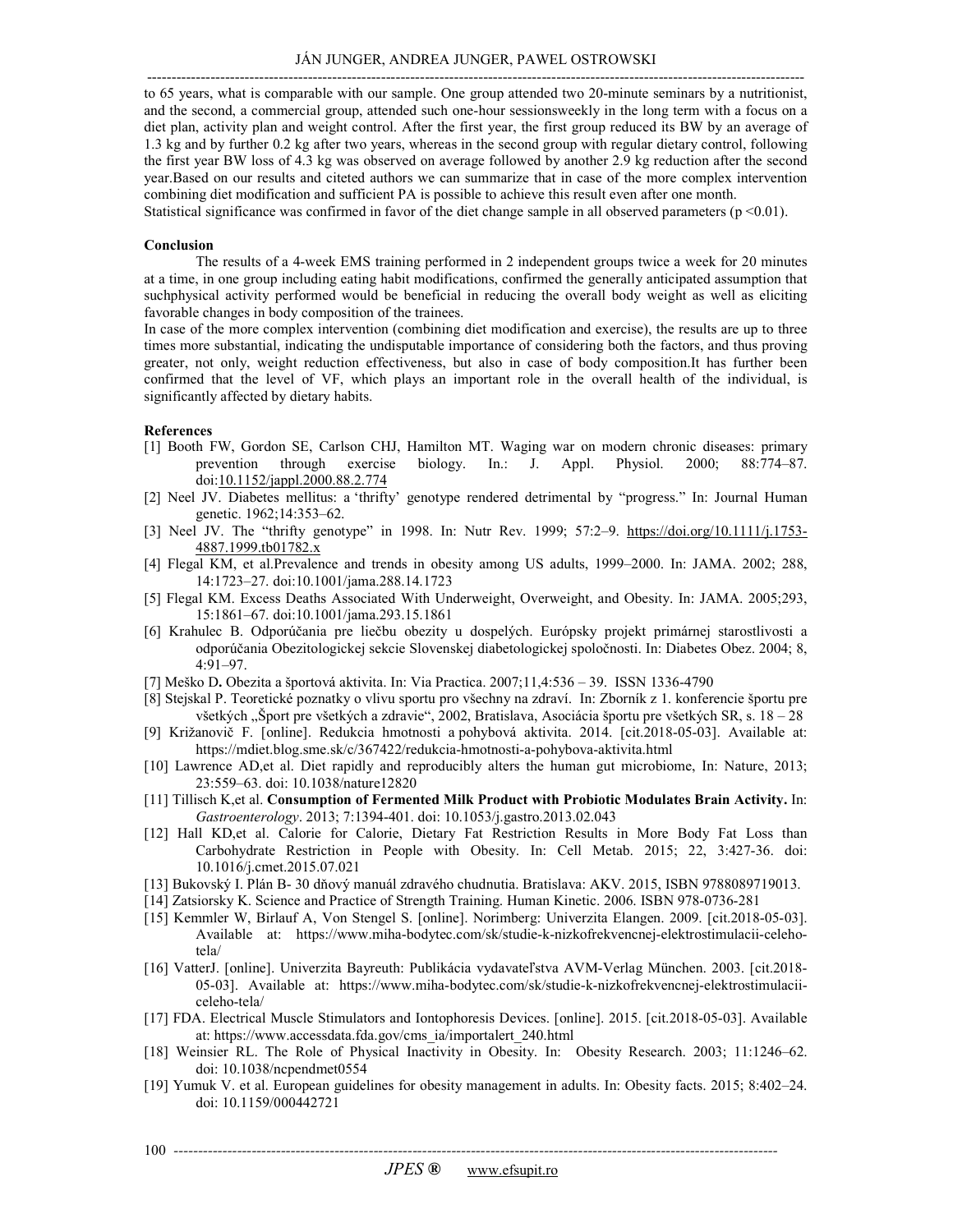---------------------------------------------------------------------------------------------------------------------------------------

to 65 years, what is comparable with our sample. One group attended two 20-minute seminars by a nutritionist, and the second, a commercial group, attended such one-hour sessionsweekly in the long term with a focus on a diet plan, activity plan and weight control. After the first year, the first group reduced its BW by an average of 1.3 kg and by further 0.2 kg after two years, whereas in the second group with regular dietary control, following the first year BW loss of 4.3 kg was observed on average followed by another 2.9 kg reduction after the second year.Based on our results and citeted authors we can summarize that in case of the more complex intervention combining diet modification and sufficient PA is possible to achieve this result even after one month. Statistical significance was confirmed in favor of the diet change sample in all observed parameters  $(p \le 0.01)$ .

#### **Conclusion**

The results of a 4-week EMS training performed in 2 independent groups twice a week for 20 minutes at a time, in one group including eating habit modifications, confirmed the generally anticipated assumption that suchphysical activity performed would be beneficial in reducing the overall body weight as well as eliciting favorable changes in body composition of the trainees.

In case of the more complex intervention (combining diet modification and exercise), the results are up to three times more substantial, indicating the undisputable importance of considering both the factors, and thus proving greater, not only, weight reduction effectiveness, but also in case of body composition.It has further been confirmed that the level of VF, which plays an important role in the overall health of the individual, is significantly affected by dietary habits.

#### **References**

- [1] Booth FW, Gordon SE, Carlson CHJ, Hamilton MT. Waging war on modern chronic diseases: primary prevention through exercise biology. In.: J. Appl. Physiol. 2000; 88:774–87. doi:10.1152/jappl.2000.88.2.774
- [2] Neel JV. Diabetes mellitus: a 'thrifty' genotype rendered detrimental by "progress." In: Journal Human genetic. 1962;14:353–62.
- [3] Neel JV. The "thrifty genotype" in 1998. In: Nutr Rev. 1999; 57:2–9. https://doi.org/10.1111/j.1753-4887.1999.tb01782.x
- [4] Flegal KM, et al.Prevalence and trends in obesity among US adults, 1999–2000. In: JAMA. 2002; 288, 14:1723–27. doi:10.1001/jama.288.14.1723
- [5] Flegal KM. Excess Deaths Associated With Underweight, Overweight, and Obesity. In: JAMA. 2005;293, 15:1861–67. doi:10.1001/jama.293.15.1861
- [6] Krahulec B. Odporúčania pre liečbu obezity u dospelých. Európsky projekt primárnej starostlivosti a odporúčania Obezitologickej sekcie Slovenskej diabetologickej spoločnosti. In: Diabetes Obez. 2004; 8, 4:91–97.
- [7] Meško D**.** Obezita a športová aktivita. In: Via Practica. 2007;11,4:536 39. ISSN 1336-4790
- [8] Stejskal P. Teoretické poznatky o vlivu sportu pro všechny na zdraví. In: Zborník z 1. konferencie športu pre všetkých "Šport pre všetkých a zdravie", 2002, Bratislava, Asociácia športu pre všetkých SR, s. 18 – 28
- [9] Križanovič F. [online]. Redukcia hmotnosti a pohybová aktivita. 2014. [cit.2018-05-03]. Available at: https://mdiet.blog.sme.sk/c/367422/redukcia-hmotnosti-a-pohybova-aktivita.html
- [10] Lawrence AD,et al. Diet rapidly and reproducibly alters the human gut microbiome, In: Nature, 2013; 23:559–63. doi: 10.1038/nature12820
- [11] Tillisch K,et al. **Consumption of Fermented Milk Product with Probiotic Modulates Brain Activity.** In: *Gastroenterology*. 2013; 7:1394-401. doi: 10.1053/j.gastro.2013.02.043
- [12] Hall KD,et al. Calorie for Calorie, Dietary Fat Restriction Results in More Body Fat Loss than Carbohydrate Restriction in People with Obesity. In: Cell Metab. 2015; 22, 3:427-36. doi: 10.1016/j.cmet.2015.07.021
- [13] Bukovský I. Plán B- 30 dňový manuál zdravého chudnutia. Bratislava: AKV. 2015, ISBN 9788089719013.
- [14] Zatsiorsky K. Science and Practice of Strength Training. Human Kinetic. 2006. ISBN 978-0736-281
- [15] Kemmler W, Birlauf A, Von Stengel S. [online]. Norimberg: Univerzita Elangen. 2009. [cit.2018-05-03]. Available at: https://www.miha-bodytec.com/sk/studie-k-nizkofrekvencnej-elektrostimulacii-celehotela/
- [16] VatterJ. [online]. Univerzita Bayreuth: Publikácia vydavateľstva AVM-Verlag München. 2003. [cit.2018- 05-03]. Available at: https://www.miha-bodytec.com/sk/studie-k-nizkofrekvencnej-elektrostimulaciiceleho-tela/
- [17] FDA. Electrical Muscle Stimulators and Iontophoresis Devices. [online]. 2015. [cit.2018-05-03]. Available at: https://www.accessdata.fda.gov/cms\_ia/importalert\_240.html
- [18] Weinsier RL. The Role of Physical Inactivity in Obesity. In: Obesity Research. 2003; 11:1246–62. doi: 10.1038/ncpendmet0554
- [19] Yumuk V. et al. European guidelines for obesity management in adults. In: Obesity facts. 2015; 8:402–24. doi: 10.1159/000442721